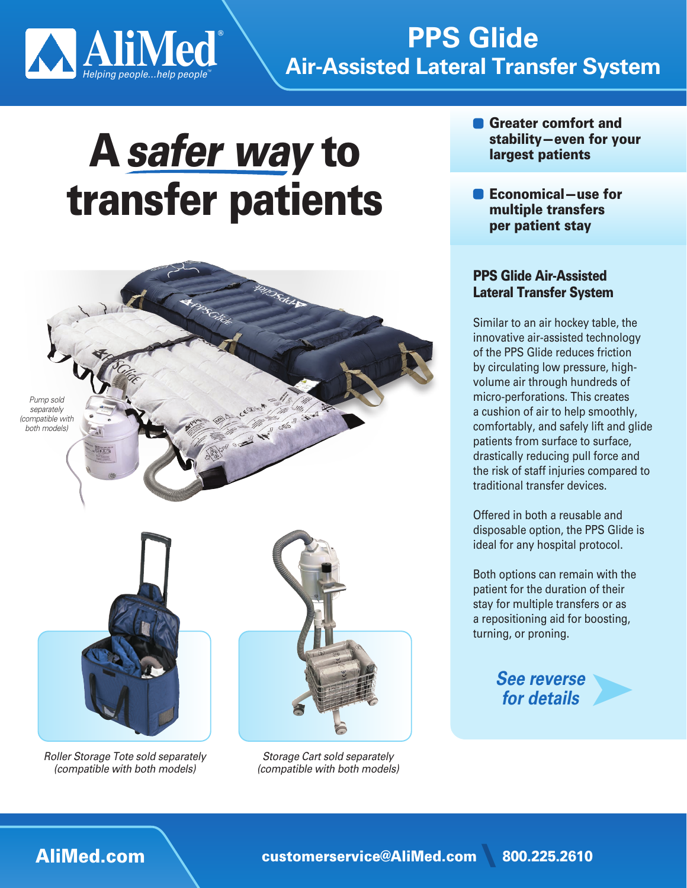

# **Air-Assisted Lateral Transfer System PPS** Glide

# A safer way to transfer patients



**Roller Storage Tote sold separately** *(compatible with both models)* 

**Storage Cart sold separately** *(compatible with both models)* 

- **a** Greater comfort and stability-even for your largest patients
- $\blacksquare$  Economical-use for multiple transfers per patient stay

### **PPS Glide Air-Assisted Lateral Transfer System**

Similar to an air hockey table, the innovative air-assisted technology of the PPS Glide reduces friction volume air through hundreds of by circulating low pressure, highmicro-perforations. This creates a cushion of air to help smoothly, comfortably, and safely lift and glide patients from surface to surface, drastically reducing pull force and the risk of staff injuries compared to traditional transfer devices.

Offered in both a reusable and disposable option, the PPS Glide is ideal for any hospital protocol.

Both options can remain with the patient for the duration of their stay for multiple transfers or as a repositioning aid for boosting, turning, or proning.